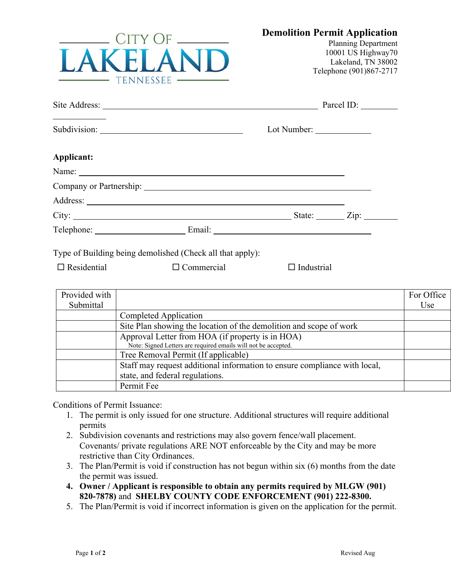

Planning Department 10001 US Highway70 Lakeland, TN 38002 Telephone (901)867-2717

|                                                                                                                       |  | Parcel ID:         |
|-----------------------------------------------------------------------------------------------------------------------|--|--------------------|
| <u> Albanya (Albanya) a shekara tsa a shekara tsa a shekara tsa a shekara tsa a shekara tsa a shekara tsa a sheka</u> |  |                    |
| Applicant:                                                                                                            |  |                    |
|                                                                                                                       |  |                    |
|                                                                                                                       |  |                    |
|                                                                                                                       |  |                    |
|                                                                                                                       |  | State: <u>Zip:</u> |
|                                                                                                                       |  |                    |

Type of Building being demolished (Check all that apply):

 $\Box$  Residential  $\Box$  Commercial  $\Box$  Industrial

| Provided with |                                                                           | For Office |
|---------------|---------------------------------------------------------------------------|------------|
| Submittal     |                                                                           | Use        |
|               | Completed Application                                                     |            |
|               | Site Plan showing the location of the demolition and scope of work        |            |
|               | Approval Letter from HOA (if property is in HOA)                          |            |
|               | Note: Signed Letters are required emails will not be accepted.            |            |
|               | Tree Removal Permit (If applicable)                                       |            |
|               | Staff may request additional information to ensure compliance with local, |            |
|               | state, and federal regulations.                                           |            |
|               | Permit Fee                                                                |            |

Conditions of Permit Issuance:

- 1. The permit is only issued for one structure. Additional structures will require additional permits
- 2. Subdivision covenants and restrictions may also govern fence/wall placement. Covenants/ private regulations ARE NOT enforceable by the City and may be more restrictive than City Ordinances.
- 3. The Plan/Permit is void if construction has not begun within six (6) months from the date the permit was issued.
- **4. Owner / Applicant is responsible to obtain any permits required by MLGW (901) 820-7878)** and **SHELBY COUNTY CODE ENFORCEMENT (901) 222-8300.**
- 5. The Plan/Permit is void if incorrect information is given on the application for the permit.